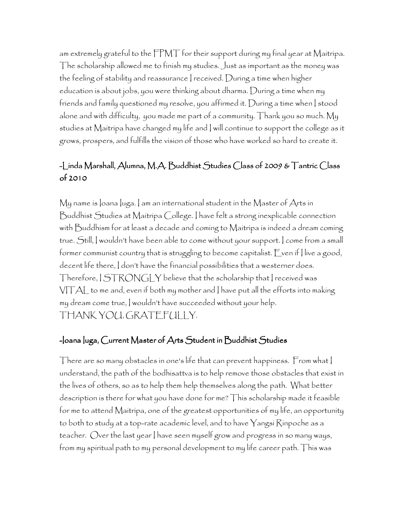am extremely grateful to the FPMT for their support during my final year at Maitripa. The scholarship allowed me to finish my studies. Just as important as the money was the feeling of stability and reassurance I received. During a time when higher education is about jobs, you were thinking about dharma. During a time when my friends and family questioned my resolve, you affirmed it. During a time when I stood alone and with difficulty, you made me part of a community. Thank you so much. My studies at Maitripa have changed my life and I will continue to support the college as it grows, prospers, and fulfills the vision of those who have worked so hard to create it.

# -Linda Marshall, Alumna, M.A. Buddhist Studies Class of 2009 & Tantric Class of 2010

My name is Joana Juga. ] am an international student in the Master of Arts in Buddhist Studies at Maitripa College. I have felt a strong inexplicable connection with Buddhism for at least a decade and coming to Maitripa is indeed a dream coming true. Still, I wouldn't have been able to come without your support. I come from a small former communist country that is struggling to become capitalist. Even if I live a good, decent life there, I don't have the financial possibilities that a westerner does. Therefore, I STRONGLYbelieve that the scholarship that I received was VITAL to me and, even if both my mother and I have put all the efforts into making my dream come true, I wouldn't have succeeded without your help. THANK YOU, GRATEFULLY.

#### -Joana Juga, Current Master of Arts Student in Buddhist Studies

There are so many obstacles in one's life that can prevent happiness. From what I understand, the path of the bodhisattva is to help remove those obstacles that exist in the lives of others, so as to help them help themselves along the path. What better description is there for what you have done for me? This scholarship made it feasible for me to attend Maitripa, one of the greatest opportunities of my life, an opportunity to both to study at a top-rate academic level, and to have Yangsi Rinpoche as a teacher. Over the last year I have seen myself grow and progress in so many ways, from my spiritual path to my personal development to my life career path. This was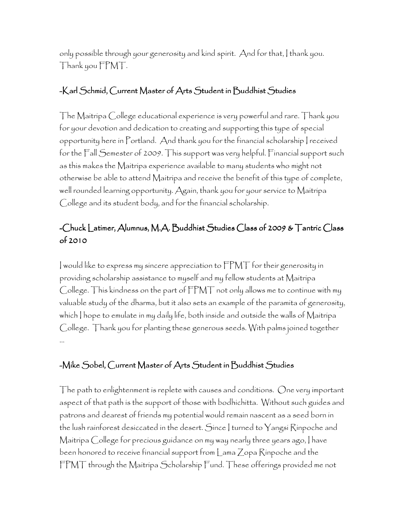only possible through your generosity and kind spirit. And for that, I thank you. Thank you FPMT.

### -Karl Schmid, Current Master of Arts Student in Buddhist Studies

The Maitripa College educational experience is very powerful and rare. Thank you for your devotion and dedication to creating and supporting this type of special opportunity here in Portland. And thank you for the financial scholarship I received for the Fall Semester of 2009. This support was very helpful. Financial support such as this makes the Maitripa experience available to many students who might not otherwise be able to attend Maitripa and receive the benefit of this type of complete, well rounded learning opportunity. Again, thank you for your service to Maitripa College and its student body, and for the financial scholarship.

# -Chuck Latimer, Alumnus, M.A. Buddhist Studies Class of 2009 & Tantric Class of 2010

I would like to express my sincere appreciation to FPMT for their generosity in providing scholarship assistance to myself and my fellow students at Maitripa College. This kindness on the part of FPMT not only allows me to continue with my valuable study of the dharma, but it also sets an example of the paramita of generosity, which I hope to emulate in my daily life, both inside and outside the walls of Maitripa College. Thank you for planting these generous seeds. With palms joined together …

## -Mike Sobel, Current Master of Arts Student in Buddhist Studies

The path to enlightenment is replete with causes and conditions. One very important aspect of that path is the support of those with bodhichitta. Without such guides and patrons and dearest of friends my potential would remain nascent as a seed born in the lush rainforest desiccated in the desert. Since I turned to Yangsi Rinpoche and Maitripa College for precious guidance on my way nearly three years ago, I have been honored to receive financial support from Lama Zopa Rinpoche and the FPMT through the Maitripa Scholarship Fund. These offerings provided me not